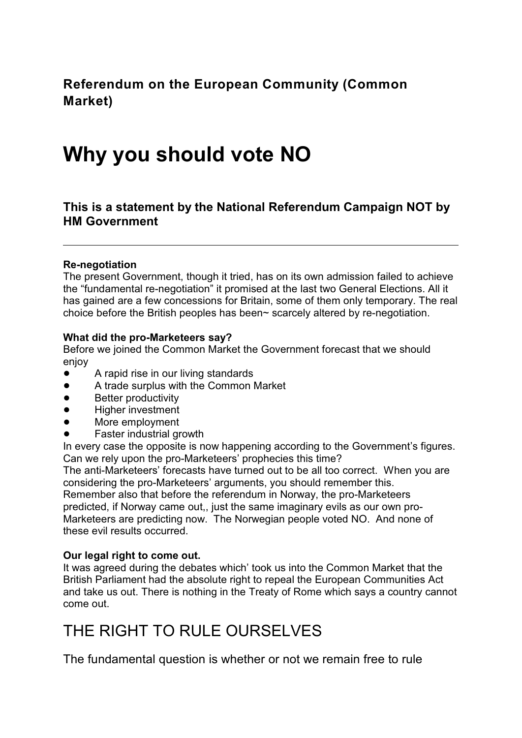### **Referendum on the European Community (Common Market)**

# **Why you should vote NO**

### **This is a statement by the National Referendum Campaign NOT by HM Government**

#### **Re-negotiation**

The present Government, though it tried, has on its own admission failed to achieve the "fundamental re-negotiation" it promised at the last two General Elections. All it has gained are a few concessions for Britain, some of them only temporary. The real choice before the British peoples has been~ scarcely altered by re-negotiation.

#### **What did the pro-Marketeers say?**

Before we joined the Common Market the Government forecast that we should enjoy

- A rapid rise in our living standards
- ! A trade surplus with the Common Market
- **•** Better productivity
- **•** Higher investment
- More employment
- **Faster industrial growth**

In every case the opposite is now happening according to the Government's figures. Can we rely upon the pro-Marketeers' prophecies this time?

The anti-Marketeers' forecasts have turned out to be all too correct. When you are considering the pro-Marketeers' arguments, you should remember this. Remember also that before the referendum in Norway, the pro-Marketeers predicted, if Norway came out,, just the same imaginary evils as our own pro-Marketeers are predicting now. The Norwegian people voted NO. And none of these evil results occurred.

#### **Our legal right to come out.**

It was agreed during the debates which' took us into the Common Market that the British Parliament had the absolute right to repeal the European Communities Act and take us out. There is nothing in the Treaty of Rome which says a country cannot come out.

## THE RIGHT TO RULE OURSELVES

The fundamental question is whether or not we remain free to rule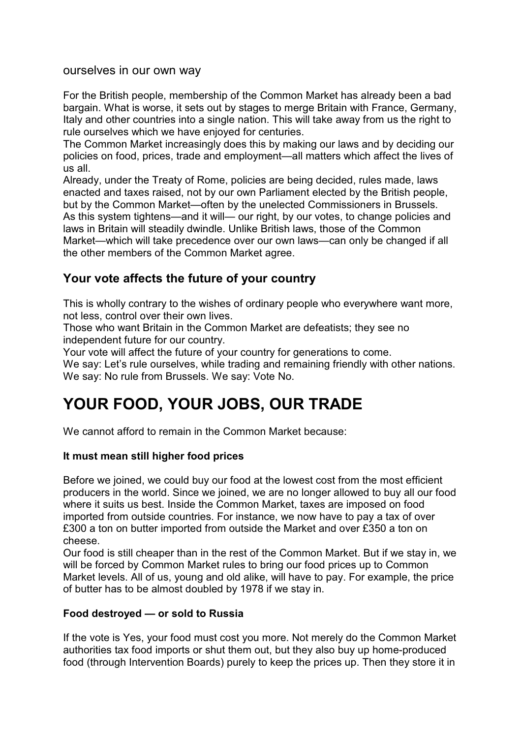#### ourselves in our own way

For the British people, membership of the Common Market has already been a bad bargain. What is worse, it sets out by stages to merge Britain with France, Germany, Italy and other countries into a single nation. This will take away from us the right to rule ourselves which we have enjoyed for centuries.

The Common Market increasingly does this by making our laws and by deciding our policies on food, prices, trade and employment—all matters which affect the lives of us all.

Already, under the Treaty of Rome, policies are being decided, rules made, laws enacted and taxes raised, not by our own Parliament elected by the British people, but by the Common Market—often by the unelected Commissioners in Brussels. As this system tightens—and it will— our right, by our votes, to change policies and laws in Britain will steadily dwindle. Unlike British laws, those of the Common Market—which will take precedence over our own laws—can only be changed if all the other members of the Common Market agree.

### **Your vote affects the future of your country**

This is wholly contrary to the wishes of ordinary people who everywhere want more, not less, control over their own lives.

Those who want Britain in the Common Market are defeatists; they see no independent future for our country.

Your vote will affect the future of your country for generations to come.

We say: Let's rule ourselves, while trading and remaining friendly with other nations. We say: No rule from Brussels. We say: Vote No.

## **YOUR FOOD, YOUR JOBS, OUR TRADE**

We cannot afford to remain in the Common Market because:

#### **It must mean still higher food prices**

Before we joined, we could buy our food at the lowest cost from the most efficient producers in the world. Since we joined, we are no longer allowed to buy all our food where it suits us best. Inside the Common Market, taxes are imposed on food imported from outside countries. For instance, we now have to pay a tax of over £300 a ton on butter imported from outside the Market and over £350 a ton on cheese.

Our food is still cheaper than in the rest of the Common Market. But if we stay in, we will be forced by Common Market rules to bring our food prices up to Common Market levels. All of us, young and old alike, will have to pay. For example, the price of butter has to be almost doubled by 1978 if we stay in.

#### **Food destroyed — or sold to Russia**

If the vote is Yes, your food must cost you more. Not merely do the Common Market authorities tax food imports or shut them out, but they also buy up home-produced food (through Intervention Boards) purely to keep the prices up. Then they store it in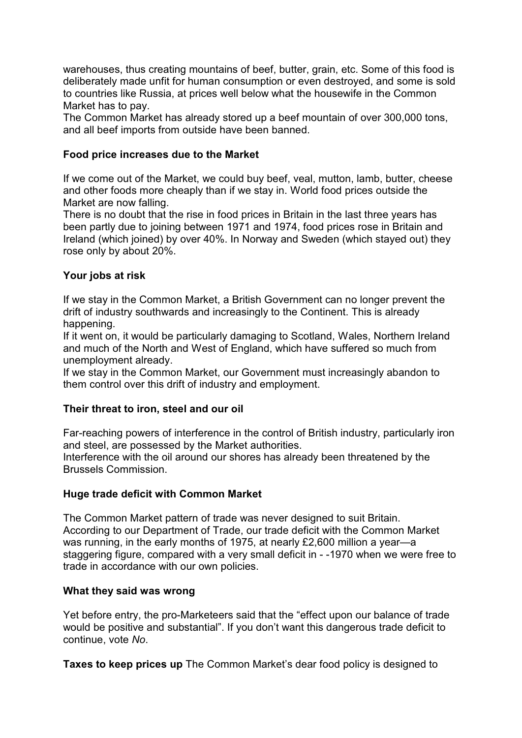warehouses, thus creating mountains of beef, butter, grain, etc. Some of this food is deliberately made unfit for human consumption or even destroyed, and some is sold to countries like Russia, at prices well below what the housewife in the Common Market has to pay.

The Common Market has already stored up a beef mountain of over 300,000 tons, and all beef imports from outside have been banned.

#### **Food price increases due to the Market**

If we come out of the Market, we could buy beef, veal, mutton, lamb, butter, cheese and other foods more cheaply than if we stay in. World food prices outside the Market are now falling.

There is no doubt that the rise in food prices in Britain in the last three years has been partly due to joining between 1971 and 1974, food prices rose in Britain and Ireland (which joined) by over 40%. In Norway and Sweden (which stayed out) they rose only by about 20%.

#### **Your jobs at risk**

If we stay in the Common Market, a British Government can no longer prevent the drift of industry southwards and increasingly to the Continent. This is already happening.

If it went on, it would be particularly damaging to Scotland, Wales, Northern Ireland and much of the North and West of England, which have suffered so much from unemployment already.

If we stay in the Common Market, our Government must increasingly abandon to them control over this drift of industry and employment.

#### **Their threat to iron, steel and our oil**

Far-reaching powers of interference in the control of British industry, particularly iron and steel, are possessed by the Market authorities.

Interference with the oil around our shores has already been threatened by the Brussels Commission.

#### **Huge trade deficit with Common Market**

The Common Market pattern of trade was never designed to suit Britain. According to our Department of Trade, our trade deficit with the Common Market was running, in the early months of 1975, at nearly £2,600 million a year—a staggering figure, compared with a very small deficit in - -1970 when we were free to trade in accordance with our own policies.

#### **What they said was wrong**

Yet before entry, the pro-Marketeers said that the "effect upon our balance of trade would be positive and substantial". If you don't want this dangerous trade deficit to continue, vote *No*.

**Taxes to keep prices up** The Common Market's dear food policy is designed to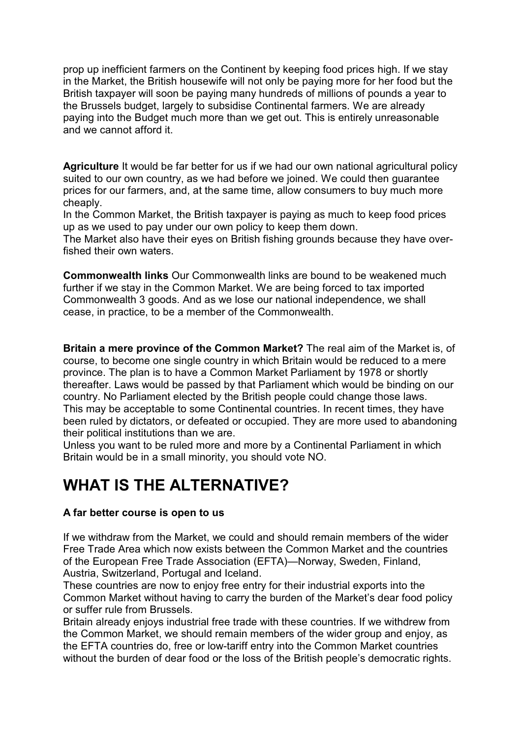prop up inefficient farmers on the Continent by keeping food prices high. If we stay in the Market, the British housewife will not only be paying more for her food but the British taxpayer will soon be paying many hundreds of millions of pounds a year to the Brussels budget, largely to subsidise Continental farmers. We are already paying into the Budget much more than we get out. This is entirely unreasonable and we cannot afford it.

**Agriculture** It would be far better for us if we had our own national agricultural policy suited to our own country, as we had before we joined. We could then guarantee prices for our farmers, and, at the same time, allow consumers to buy much more cheaply.

In the Common Market, the British taxpayer is paying as much to keep food prices up as we used to pay under our own policy to keep them down.

The Market also have their eyes on British fishing grounds because they have overfished their own waters.

**Commonwealth links** Our Commonwealth links are bound to be weakened much further if we stay in the Common Market. We are being forced to tax imported Commonwealth 3 goods. And as we lose our national independence, we shall cease, in practice, to be a member of the Commonwealth.

**Britain a mere province of the Common Market?** The real aim of the Market is, of course, to become one single country in which Britain would be reduced to a mere province. The plan is to have a Common Market Parliament by 1978 or shortly thereafter. Laws would be passed by that Parliament which would be binding on our country. No Parliament elected by the British people could change those laws. This may be acceptable to some Continental countries. In recent times, they have been ruled by dictators, or defeated or occupied. They are more used to abandoning their political institutions than we are.

Unless you want to be ruled more and more by a Continental Parliament in which Britain would be in a small minority, you should vote NO.

## **WHAT IS THE ALTERNATIVE?**

#### **A far better course is open to us**

If we withdraw from the Market, we could and should remain members of the wider Free Trade Area which now exists between the Common Market and the countries of the European Free Trade Association (EFTA)—Norway, Sweden, Finland, Austria, Switzerland, Portugal and Iceland.

These countries are now to enjoy free entry for their industrial exports into the Common Market without having to carry the burden of the Market's dear food policy or suffer rule from Brussels.

Britain already enjoys industrial free trade with these countries. If we withdrew from the Common Market, we should remain members of the wider group and enjoy, as the EFTA countries do, free or low-tariff entry into the Common Market countries without the burden of dear food or the loss of the British people's democratic rights.